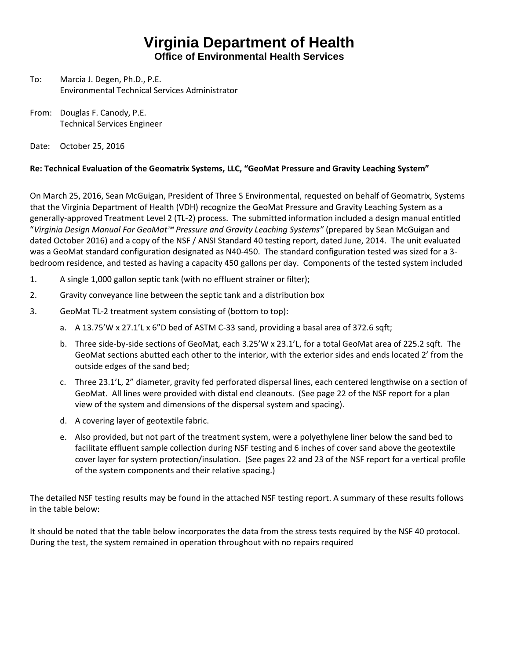## **Virginia Department of Health**

**Office of Environmental Health Services**

- To: Marcia J. Degen, Ph.D., P.E. Environmental Technical Services Administrator
- From: Douglas F. Canody, P.E. Technical Services Engineer
- Date: October 25, 2016

## **Re: Technical Evaluation of the Geomatrix Systems, LLC, "GeoMat Pressure and Gravity Leaching System"**

On March 25, 2016, Sean McGuigan, President of Three S Environmental, requested on behalf of Geomatrix, Systems that the Virginia Department of Health (VDH) recognize the GeoMat Pressure and Gravity Leaching System as a generally-approved Treatment Level 2 (TL-2) process. The submitted information included a design manual entitled "*Virginia Design Manual For GeoMat™ Pressure and Gravity Leaching Systems"* (prepared by Sean McGuigan and dated October 2016) and a copy of the NSF / ANSI Standard 40 testing report, dated June, 2014. The unit evaluated was a GeoMat standard configuration designated as N40-450. The standard configuration tested was sized for a 3 bedroom residence, and tested as having a capacity 450 gallons per day. Components of the tested system included

- 1. A single 1,000 gallon septic tank (with no effluent strainer or filter);
- 2. Gravity conveyance line between the septic tank and a distribution box
- 3. GeoMat TL-2 treatment system consisting of (bottom to top):
	- a. A 13.75'W x 27.1'L x 6"D bed of ASTM C-33 sand, providing a basal area of 372.6 sqft;
	- b. Three side-by-side sections of GeoMat, each 3.25'W x 23.1'L, for a total GeoMat area of 225.2 sqft. The GeoMat sections abutted each other to the interior, with the exterior sides and ends located 2' from the outside edges of the sand bed;
	- c. Three 23.1'L, 2" diameter, gravity fed perforated dispersal lines, each centered lengthwise on a section of GeoMat. All lines were provided with distal end cleanouts. (See page 22 of the NSF report for a plan view of the system and dimensions of the dispersal system and spacing).
	- d. A covering layer of geotextile fabric.
	- e. Also provided, but not part of the treatment system, were a polyethylene liner below the sand bed to facilitate effluent sample collection during NSF testing and 6 inches of cover sand above the geotextile cover layer for system protection/insulation. (See pages 22 and 23 of the NSF report for a vertical profile of the system components and their relative spacing.)

The detailed NSF testing results may be found in the attached NSF testing report. A summary of these results follows in the table below:

It should be noted that the table below incorporates the data from the stress tests required by the NSF 40 protocol. During the test, the system remained in operation throughout with no repairs required